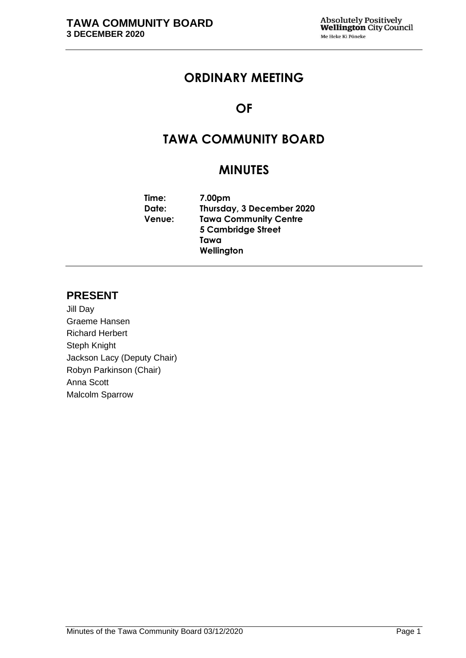## **ORDINARY MEETING**

## **OF**

## **TAWA COMMUNITY BOARD**

## **MINUTES**

**Time: 7.00pm Date: Thursday, 3 December 2020 Venue: Tawa Community Centre 5 Cambridge Street Tawa Wellington**

## **PRESENT**

Jill Day Graeme Hansen Richard Herbert Steph Knight Jackson Lacy (Deputy Chair) Robyn Parkinson (Chair) Anna Scott Malcolm Sparrow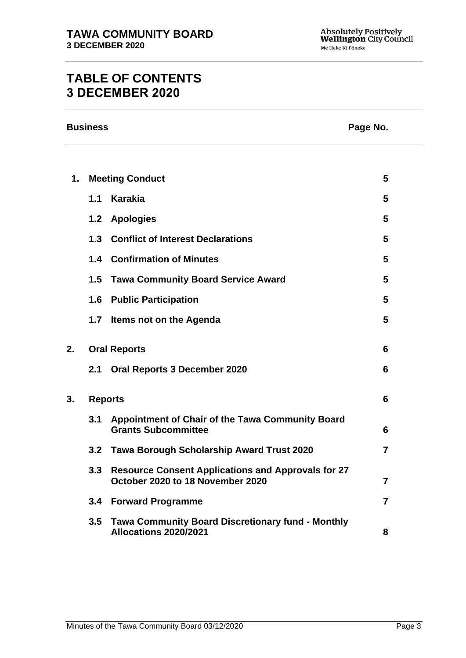# **TABLE OF CONTENTS 3 DECEMBER 2020**

| <b>Business</b> | Page No. |
|-----------------|----------|
|-----------------|----------|

| 1. |                | <b>Meeting Conduct</b>                                                                        | 5              |
|----|----------------|-----------------------------------------------------------------------------------------------|----------------|
|    | 1.1            | <b>Karakia</b>                                                                                | 5              |
|    | 1.2            | <b>Apologies</b>                                                                              | 5              |
|    | 1.3            | <b>Conflict of Interest Declarations</b>                                                      | 5              |
|    |                | 1.4 Confirmation of Minutes                                                                   | 5              |
|    | 1.5            | <b>Tawa Community Board Service Award</b>                                                     | 5              |
|    | 1.6            | <b>Public Participation</b>                                                                   | 5              |
|    |                | 1.7 Items not on the Agenda                                                                   | 5              |
| 2. |                | <b>Oral Reports</b>                                                                           | 6              |
|    | 2.1            | <b>Oral Reports 3 December 2020</b>                                                           | 6              |
| 3. | <b>Reports</b> |                                                                                               | 6              |
|    | 3.1            | Appointment of Chair of the Tawa Community Board<br><b>Grants Subcommittee</b>                | 6              |
|    |                | 3.2 Tawa Borough Scholarship Award Trust 2020                                                 | $\overline{7}$ |
|    | 3.3            | <b>Resource Consent Applications and Approvals for 27</b><br>October 2020 to 18 November 2020 | $\overline{7}$ |
|    | 3.4            | <b>Forward Programme</b>                                                                      | $\overline{7}$ |
|    | 3.5            | <b>Tawa Community Board Discretionary fund - Monthly</b><br>Allocations 2020/2021             | 8              |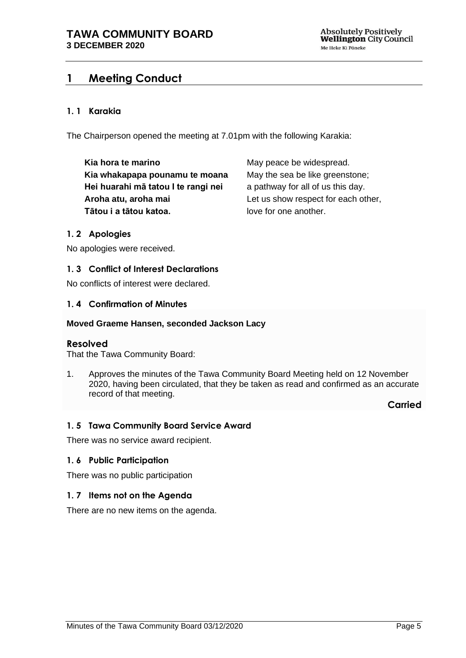## <span id="page-4-0"></span>**1 Meeting Conduct**

## **1. 1 Karakia**

The Chairperson opened the meeting at 7.01pm with the following Karakia:

**Kia hora te marino Kia whakapapa pounamu te moana Hei huarahi mā tatou I te rangi nei Aroha atu, aroha mai Tātou i a tātou katoa.**

May peace be widespread. May the sea be like greenstone; a pathway for all of us this day. Let us show respect for each other, love for one another.

## <span id="page-4-1"></span>**1. 2 Apologies**

No apologies were received.

## <span id="page-4-2"></span>**1. 3 Conflict of Interest Declarations**

No conflicts of interest were declared.

## <span id="page-4-3"></span>**1. 4 Confirmation of Minutes**

#### **Moved Graeme Hansen, seconded Jackson Lacy**

## **Resolved**

That the Tawa Community Board:

1. Approves the minutes of the Tawa Community Board Meeting held on 12 November 2020, having been circulated, that they be taken as read and confirmed as an accurate record of that meeting.

**Carried**

## <span id="page-4-4"></span>**1. 5 Tawa Community Board Service Award**

There was no service award recipient.

## <span id="page-4-5"></span>**1. 6 Public Participation**

There was no public participation

## <span id="page-4-6"></span>**1. 7 Items not on the Agenda**

There are no new items on the agenda.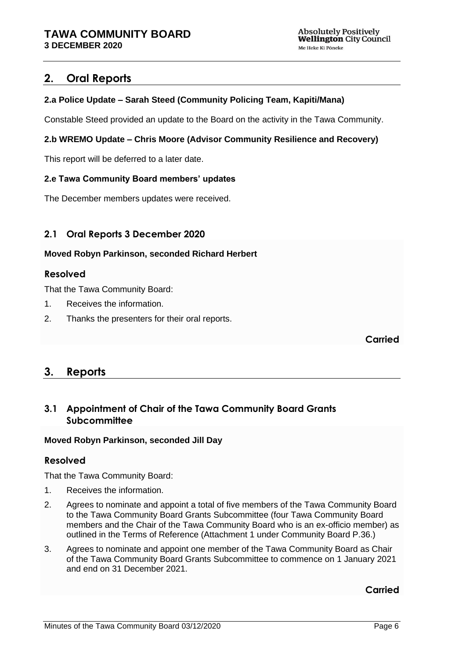## <span id="page-5-0"></span>**2. Oral Reports**

## **2.a Police Update – Sarah Steed (Community Policing Team, Kapiti/Mana)**

Constable Steed provided an update to the Board on the activity in the Tawa Community.

## **2.b WREMO Update – Chris Moore (Advisor Community Resilience and Recovery)**

This report will be deferred to a later date.

## **2.e Tawa Community Board members' updates**

The December members updates were received.

## <span id="page-5-1"></span>**2.1 Oral Reports 3 December 2020**

## **Moved Robyn Parkinson, seconded Richard Herbert**

## **Resolved**

That the Tawa Community Board:

- 1. Receives the information.
- 2. Thanks the presenters for their oral reports.

**Carried**

## <span id="page-5-2"></span>**3. Reports**

## <span id="page-5-3"></span>**3.1 Appointment of Chair of the Tawa Community Board Grants Subcommittee**

## **Moved Robyn Parkinson, seconded Jill Day**

## **Resolved**

That the Tawa Community Board:

- 1. Receives the information.
- 2. Agrees to nominate and appoint a total of five members of the Tawa Community Board to the Tawa Community Board Grants Subcommittee (four Tawa Community Board members and the Chair of the Tawa Community Board who is an ex-officio member) as outlined in the Terms of Reference (Attachment 1 under Community Board P.36.)
- 3. Agrees to nominate and appoint one member of the Tawa Community Board as Chair of the Tawa Community Board Grants Subcommittee to commence on 1 January 2021 and end on 31 December 2021.

**Carried**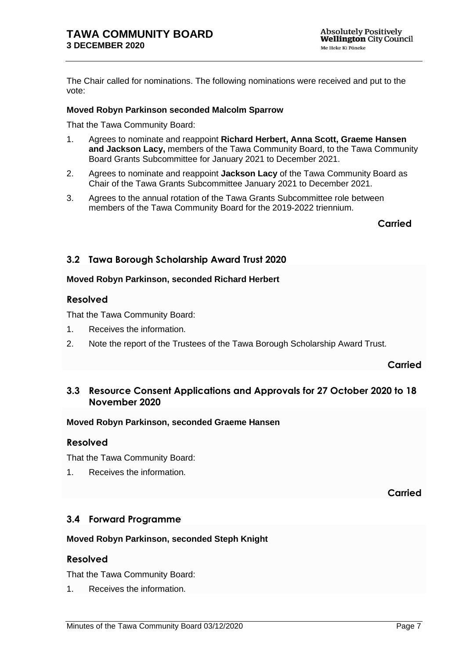The Chair called for nominations. The following nominations were received and put to the vote:

#### **Moved Robyn Parkinson seconded Malcolm Sparrow**

That the Tawa Community Board:

- 1. Agrees to nominate and reappoint **Richard Herbert, Anna Scott, Graeme Hansen and Jackson Lacy,** members of the Tawa Community Board, to the Tawa Community Board Grants Subcommittee for January 2021 to December 2021.
- 2. Agrees to nominate and reappoint **Jackson Lacy** of the Tawa Community Board as Chair of the Tawa Grants Subcommittee January 2021 to December 2021.
- 3. Agrees to the annual rotation of the Tawa Grants Subcommittee role between members of the Tawa Community Board for the 2019-2022 triennium.

**Carried Carried** 

## <span id="page-6-0"></span>**3.2 Tawa Borough Scholarship Award Trust 2020**

#### **Moved Robyn Parkinson, seconded Richard Herbert**

#### **Resolved**

That the Tawa Community Board:

- 1. Receives the information.
- 2. Note the report of the Trustees of the Tawa Borough Scholarship Award Trust.

## **Carried**

## <span id="page-6-1"></span>**3.3 Resource Consent Applications and Approvals for 27 October 2020 to 18 November 2020**

#### **Moved Robyn Parkinson, seconded Graeme Hansen**

## **Resolved**

That the Tawa Community Board:

1. Receives the information.

**Carried**

## <span id="page-6-2"></span>**3.4 Forward Programme**

## **Moved Robyn Parkinson, seconded Steph Knight**

## **Resolved**

That the Tawa Community Board:

1. Receives the information.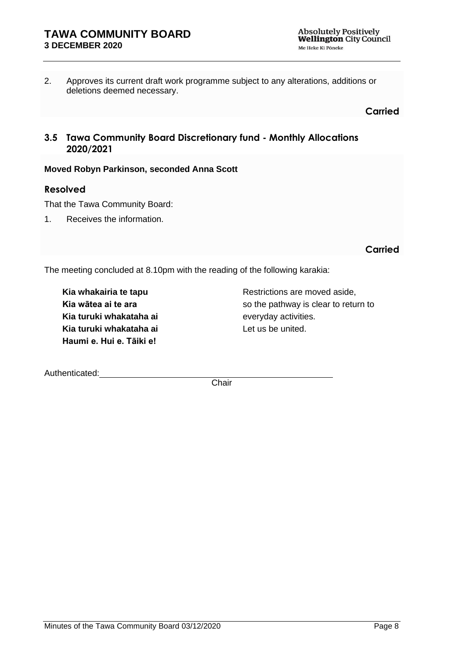2. Approves its current draft work programme subject to any alterations, additions or deletions deemed necessary.

**Carried**

## <span id="page-7-0"></span>**3.5 Tawa Community Board Discretionary fund - Monthly Allocations 2020/2021**

## **Moved Robyn Parkinson, seconded Anna Scott**

## **Resolved**

That the Tawa Community Board:

1. Receives the information.

**Carried**

The meeting concluded at 8.10pm with the reading of the following karakia:

**Kia whakairia te tapu Kia wātea ai te ara Kia turuki whakataha ai Kia turuki whakataha ai Haumi e. Hui e. Tāiki e!**

Restrictions are moved aside, so the pathway is clear to return to everyday activities. Let us be united.

Authenticated:

**Chair**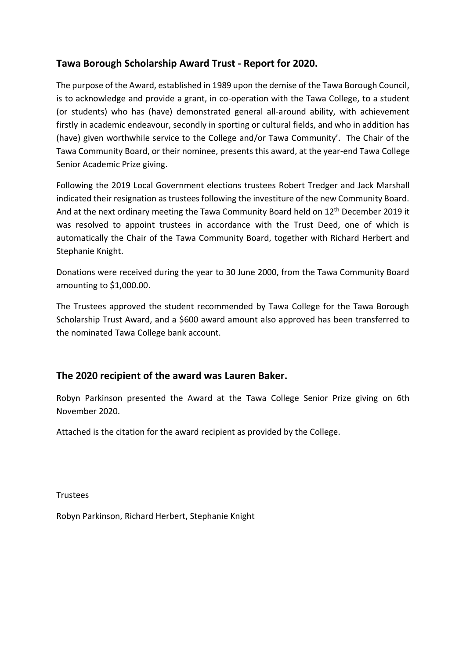## **Tawa Borough Scholarship Award Trust - Report for 2020.**

The purpose of the Award, established in 1989 upon the demise of the Tawa Borough Council, is to acknowledge and provide a grant, in co-operation with the Tawa College, to a student (or students) who has (have) demonstrated general all-around ability, with achievement firstly in academic endeavour, secondly in sporting or cultural fields, and who in addition has (have) given worthwhile service to the College and/or Tawa Community'. The Chair of the Tawa Community Board, or their nominee, presents this award, at the year-end Tawa College Senior Academic Prize giving.

Following the 2019 Local Government elections trustees Robert Tredger and Jack Marshall indicated their resignation as trustees following the investiture of the new Community Board. And at the next ordinary meeting the Tawa Community Board held on 12<sup>th</sup> December 2019 it was resolved to appoint trustees in accordance with the Trust Deed, one of which is automatically the Chair of the Tawa Community Board, together with Richard Herbert and Stephanie Knight.

Donations were received during the year to 30 June 2000, from the Tawa Community Board amounting to \$1,000.00.

The Trustees approved the student recommended by Tawa College for the Tawa Borough Scholarship Trust Award, and a \$600 award amount also approved has been transferred to the nominated Tawa College bank account.

## **The 2020 recipient of the award was Lauren Baker.**

Robyn Parkinson presented the Award at the Tawa College Senior Prize giving on 6th November 2020.

Attached is the citation for the award recipient as provided by the College.

Trustees

Robyn Parkinson, Richard Herbert, Stephanie Knight